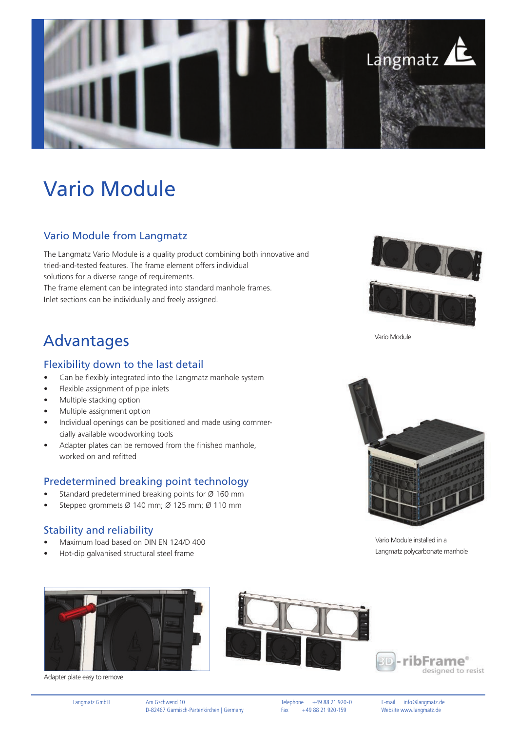

# Vario Module

### Vario Module from Langmatz

The Langmatz Vario Module is a quality product combining both innovative and tried-and-tested features. The frame element offers individual solutions for a diverse range of requirements. The frame element can be integrated into standard manhole frames. Inlet sections can be individually and freely assigned.

### Advantages

#### Flexibility down to the last detail

- Can be flexibly integrated into the Langmatz manhole system
- Flexible assignment of pipe inlets
- Multiple stacking option
- Multiple assignment option
- Individual openings can be positioned and made using commercially available woodworking tools
- Adapter plates can be removed from the finished manhole, worked on and refitted

#### Predetermined breaking point technology

- Standard predetermined breaking points for Ø 160 mm
- Stepped grommets Ø 140 mm; Ø 125 mm; Ø 110 mm

### Stability and reliability

- Maximum load based on DIN EN 124/D 400
- Hot-dip galvanised structural steel frame



Adapter plate easy to remove



Vario Module



Vario Module installed in a Langmatz polycarbonate manhole



Langmatz GmbH Am Gschwend 10<br>D-82467 Garmisch-Partenkirchen | Germany Fax +49 88 21 920-159 Website www.langmatz.de D-82467 Garmisch-Partenkirchen | Germany Fax +49 88 21 920-159 Website www.langmatz.de